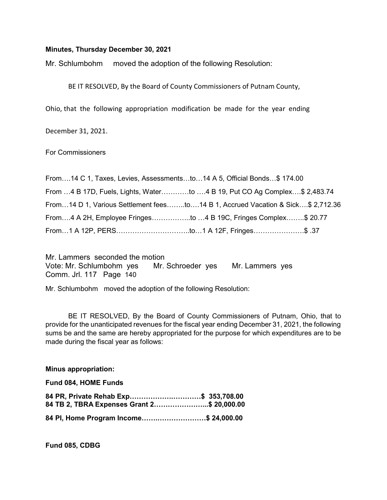### Minutes, Thursday December 30, 2021

Mr. Schlumbohm moved the adoption of the following Resolution:

BE IT RESOLVED, By the Board of County Commissioners of Putnam County,

Ohio, that the following appropriation modification be made for the year ending

December 31, 2021.

For Commissioners

| From14 C 1, Taxes, Levies, Assessmentsto14 A 5, Official Bonds\$ 174.00         |  |
|---------------------------------------------------------------------------------|--|
| From 4 B 17D, Fuels, Lights, Waterto 4 B 19, Put CO Ag Complex\$ 2,483.74       |  |
| From14 D 1, Various Settlement feesto14 B 1, Accrued Vacation & Sick\$ 2,712.36 |  |
| From4 A 2H, Employee Fringesto 4 B 19C, Fringes Complex\$ 20.77                 |  |
| 7. \$\$ .37 From1 A 12F, Fringes\$ .37                                          |  |

Mr. Lammers seconded the motion Vote: Mr. Schlumbohm yes Mr. Schroeder yes Mr. Lammers yes Comm. Jrl. 117 Page 140

Mr. Schlumbohm moved the adoption of the following Resolution:

 BE IT RESOLVED, By the Board of County Commissioners of Putnam, Ohio, that to provide for the unanticipated revenues for the fiscal year ending December 31, 2021, the following sums be and the same are hereby appropriated for the purpose for which expenditures are to be made during the fiscal year as follows:

#### Minus appropriation:

Fund 084, HOME Funds

| 84 PR, Private Rehab Exp\$ 353,708.00      |  |
|--------------------------------------------|--|
| 84 TB 2, TBRA Expenses Grant 2\$ 20,000.00 |  |
| 84 PI, Home Program Income\$ 24,000.00     |  |

Fund 085, CDBG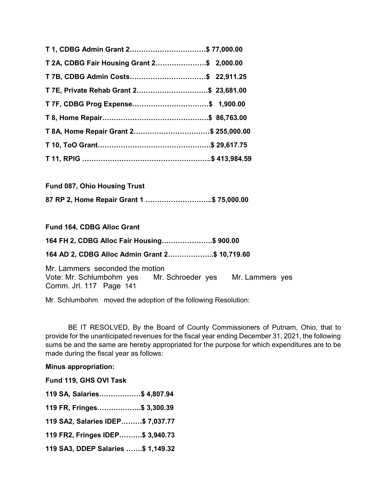| T 1, CDBG Admin Grant 2\$ 77,000.00        |  |
|--------------------------------------------|--|
| T 2A, CDBG Fair Housing Grant 2\$ 2,000.00 |  |
|                                            |  |
| T 7E, Private Rehab Grant 2\$ 23,681.00    |  |
|                                            |  |
|                                            |  |
| T 8A, Home Repair Grant 2\$ 255,000.00     |  |
|                                            |  |
|                                            |  |

| <b>Fund 087, Ohio Housing Trust</b>       |  |
|-------------------------------------------|--|
| 87 RP 2, Home Repair Grant 1 \$ 75,000.00 |  |

Fund 164, CDBG Alloc Grant

164 FH 2, CDBG Alloc Fair Housing………………….\$ 900.00

164 AD 2, CDBG Alloc Admin Grant 2………………..\$ 10,719.60

Mr. Lammers seconded the motion Vote: Mr. Schlumbohm yes Mr. Schroeder yes Mr. Lammers yes Comm. Jrl. 117 Page 141

Mr. Schlumbohm moved the adoption of the following Resolution:

 BE IT RESOLVED, By the Board of County Commissioners of Putnam, Ohio, that to provide for the unanticipated revenues for the fiscal year ending December 31, 2021, the following sums be and the same are hereby appropriated for the purpose for which expenditures are to be made during the fiscal year as follows:

# Minus appropriation:

Fund 119, GHS OVI Task

| 119 SA, Salaries\$ 4,807.94        |  |
|------------------------------------|--|
| 119 FR, Fringes\$ 3,300.39         |  |
| 119 SA2, Salaries IDEP\$ 7,037.77  |  |
| 119 FR2, Fringes IDEP\$ 3,940.73   |  |
| 119 SA3, DDEP Salaries \$ 1,149.32 |  |
|                                    |  |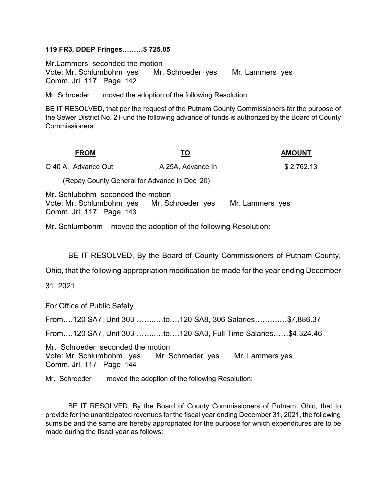## 119 FR3, DDEP Fringes………\$ 725.05

Mr.Lammers seconded the motion Vote: Mr. Schlumbohm yes Mr. Schroeder yes Mr. Lammers yes Comm. Jrl. 117 Page 142

Mr. Schroeder moved the adoption of the following Resolution:

BE IT RESOLVED, that per the request of the Putnam County Commissioners for the purpose of the Sewer District No. 2 Fund the following advance of funds is authorized by the Board of County Commissioners:

| <b>FROM</b>                                                                              | TO                | <b>AMOUNT</b>   |
|------------------------------------------------------------------------------------------|-------------------|-----------------|
| Q 40 A, Advance Out                                                                      | A 25A, Advance In | \$2,762.13      |
| (Repay County General for Advance in Dec '20)                                            |                   |                 |
| Mr. Schlubohm seconded the motion<br>Vote: Mr. Schlumbohm yes<br>Comm. Jrl. 117 Page 143 | Mr. Schroeder yes | Mr. Lammers yes |

Mr. Schlumbohm moved the adoption of the following Resolution:

BE IT RESOLVED, By the Board of County Commissioners of Putnam County,

Ohio, that the following appropriation modification be made for the year ending December

31, 2021.

For Office of Public Safety

From….120 SA7, Unit 303 ……..…to….120 SA8, 306 Salaries……….…\$7,886.37

From….120 SA7, Unit 303 ……..…to….120 SA3, Full Time Salaries……\$4,324.46

Mr. Schroeder seconded the motion Vote: Mr. Schlumbohm yes Mr. Schroeder yes Mr. Lammers yes Comm. Jrl. 117 Page 144

Mr. Schroeder moved the adoption of the following Resolution:

 BE IT RESOLVED, By the Board of County Commissioners of Putnam, Ohio, that to provide for the unanticipated revenues for the fiscal year ending December 31, 2021, the following sums be and the same are hereby appropriated for the purpose for which expenditures are to be made during the fiscal year as follows: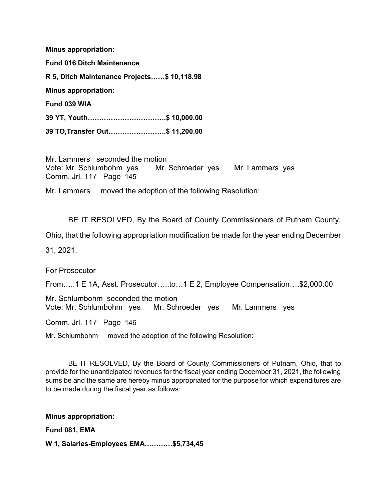Minus appropriation:

Fund 016 Ditch Maintenance R 5, Ditch Maintenance Projects……\$ 10,118.98 Minus appropriation: Fund 039 WIA 39 YT, Youth…………………………….\$ 10,000.00

39 TO,Transfer Out…………………….\$ 11,200.00

Mr. Lammers seconded the motion Vote: Mr. Schlumbohm yes Mr. Schroeder yes Mr. Lammers yes Comm. Jrl. 117 Page 145

Mr. Lammers moved the adoption of the following Resolution:

BE IT RESOLVED, By the Board of County Commissioners of Putnam County,

Ohio, that the following appropriation modification be made for the year ending December

31, 2021.

For Prosecutor

From…..1 E 1A, Asst. Prosecutor…..to…1 E 2, Employee Compensation….\$2,000.00

Mr. Schlumbohm seconded the motion Vote: Mr. Schlumbohm yes Mr. Schroeder yes Mr. Lammers yes

Comm. Jrl. 117 Page 146

Mr. Schlumbohm moved the adoption of the following Resolution:

 BE IT RESOLVED, By the Board of County Commissioners of Putnam, Ohio, that to provide for the unanticipated revenues for the fiscal year ending December 31, 2021, the following sums be and the same are hereby minus appropriated for the purpose for which expenditures are to be made during the fiscal year as follows:

Minus appropriation:

Fund 081, EMA

W 1, Salaries-Employees EMA…………\$5,734,45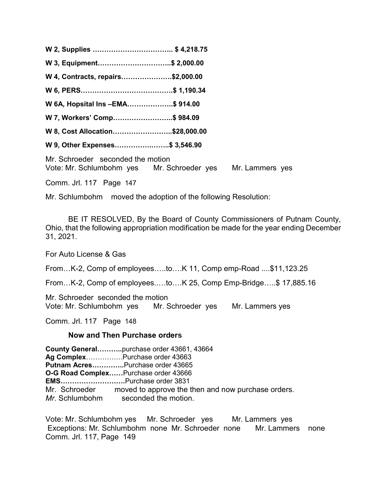W 2, Supplies …………………………….. \$ 4,218.75 W 3, Equipment..................................\$ 2,000.00 W 4, Contracts, repairs………………….\$2,000.00 W 6, PERS………………………………….\$ 1,190.34 W 6A, Hopsital Ins –EMA………………..\$ 914.00 W 7, Workers' Comp……………………..\$ 984.09 W 8, Cost Allocation……………………..\$28,000.00 W 9, Other Expenses............................\$ 3,546.90 Mr. Schroeder seconded the motion

Vote: Mr. Schlumbohm yes Mr. Schroeder yes Mr. Lammers yes

Comm. Jrl. 117 Page 147

Mr. Schlumbohm moved the adoption of the following Resolution:

 BE IT RESOLVED, By the Board of County Commissioners of Putnam County, Ohio, that the following appropriation modification be made for the year ending December 31, 2021.

For Auto License & Gas

From…K-2, Comp of employees…..to….K 11, Comp emp-Road ....\$11,123.25

From…K-2, Comp of employees..…to….K 25, Comp Emp-Bridge…..\$ 17,885.16

Mr. Schroeder seconded the motion Vote: Mr. Schlumbohm yes Mr. Schroeder yes Mr. Lammers yes

Comm. Jrl. 117 Page 148

# Now and Then Purchase orders

County General………..purchase order 43661, 43664 Ag Complex...............Purchase order 43663 Putnam Acres..............Purchase order 43665 O-G Road Complex……Purchase order 43666 EMS……………………….Purchase order 3831 Mr. Schroeder moved to approve the then and now purchase orders. Mr. Schlumbohm seconded the motion.

Vote: Mr. Schlumbohm yes Mr. Schroeder yes Mr. Lammers yes Exceptions: Mr. Schlumbohm none Mr. Schroeder none Mr. Lammers none Comm. Jrl. 117, Page 149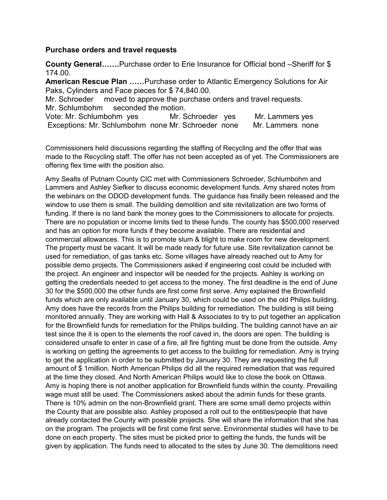# Purchase orders and travel requests

County General…….Purchase order to Erie Insurance for Official bond –Sheriff for \$ 174.00.

American Rescue Plan ……Purchase order to Atlantic Emergency Solutions for Air Paks, Cylinders and Face pieces for \$ 74,840.00.

Mr. Schroeder moved to approve the purchase orders and travel requests. Mr. Schlumbohm seconded the motion.

| Vote: Mr. Schlumbohm yes                           | Mr. Schroeder yes | Mr. Lammers yes  |
|----------------------------------------------------|-------------------|------------------|
| Exceptions: Mr. Schlumbohm none Mr. Schroeder none |                   | Mr. Lammers none |

Commissioners held discussions regarding the staffing of Recycling and the offer that was made to the Recycling staff. The offer has not been accepted as of yet. The Commissioners are offering flex time with the position also.

Amy Sealts of Putnam County CIC met with Commissioners Schroeder, Schlumbohm and Lammers and Ashley Siefker to discuss economic development funds. Amy shared notes from the webinars on the ODOD development funds. The guidance has finally been released and the window to use them is small. The building demolition and site revitalization are two forms of funding. If there is no land bank the money goes to the Commissioners to allocate for projects. There are no population or income limits tied to these funds. The county has \$500,000 reserved and has an option for more funds if they become available. There are residential and commercial allowances. This is to promote slum & blight to make room for new development. The property must be vacant. It will be made ready for future use. Site revitalization cannot be used for remediation, of gas tanks etc. Some villages have already reached out to Amy for possible demo projects. The Commissioners asked if engineering cost could be included with the project. An engineer and inspector will be needed for the projects. Ashley is working on getting the credentials needed to get access to the money. The first deadline is the end of June 30 for the \$500,000 the other funds are first come first serve. Amy explained the Brownfield funds which are only available until January 30, which could be used on the old Philips building. Amy does have the records from the Philips building for remediation. The building is still being monitored annually. They are working with Hall & Associates to try to put together an application for the Brownfield funds for remediation for the Philips building. The building cannot have an air test since the it is open to the elements the roof caved in, the doors are open. The building is considered unsafe to enter in case of a fire, all fire fighting must be done from the outside. Amy is working on getting the agreements to get access to the building for remediation. Amy is trying to get the application in order to be submitted by January 30. They are requesting the full amount of \$ 1million. North American Philips did all the required remediation that was required at the time they closed. And North American Philips would like to close the book on Ottawa. Amy is hoping there is not another application for Brownfield funds within the county. Prevailing wage must still be used. The Commissioners asked about the admin funds for these grants. There is 10% admin on the non-Brownfield grant. There are some small demo projects within the County that are possible also. Ashley proposed a roll out to the entities/people that have already contacted the County with possible projects. She will share the information that she has on the program. The projects will be first come first serve. Environmental studies will have to be done on each property. The sites must be picked prior to getting the funds, the funds will be given by application. The funds need to allocated to the sites by June 30. The demolitions need